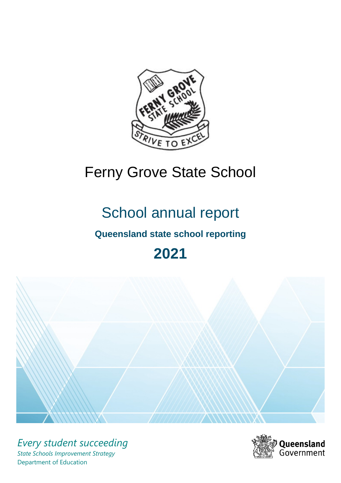

# Ferny Grove State School

# School annual report

# **Queensland state school reporting**

# **2021**



*Every student succeeding State Schools Improvement Strategy* Department of Education

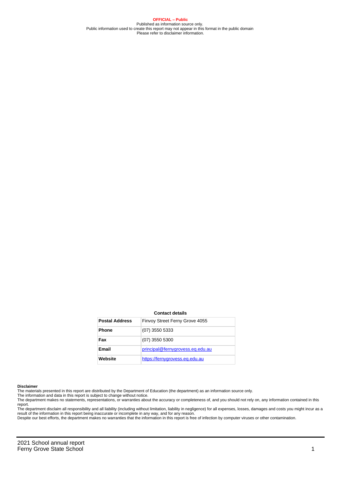**OFFICIAL – Public** Published as information source only. Public information used to create this report may not appear in this format in the public domain Please refer to disclaimer information.

#### **Contact details**

| <b>Postal Address</b> | Finvoy Street Ferny Grove 4055   |
|-----------------------|----------------------------------|
| <b>Phone</b>          | $(07)$ 3550 5333                 |
| Fax                   | $(07)$ 3550 5300                 |
| <b>Email</b>          | principal@fernygrovess.eq.edu.au |
| Website               | https://fernygrovess.eg.edu.au   |

#### **Disclaimer**

The materials presented in this report are distributed by the Department of Education (the department) as an information source only.

The information and data in this report is subject to change without notice.<br>The department makes no statements, representations, or warranties about the accuracy or completeness of, and you should not rely on, any informa report. The department disclaim all responsibility and all liability (including without limitation, liability in negligence) for all expenses, losses, damages and costs you might incur as a

result of the information in this report being inaccurate or incomplete in any way, and for any reason. Despite our best efforts, the department makes no warranties that the information in this report is free of infection by computer viruses or other contamination.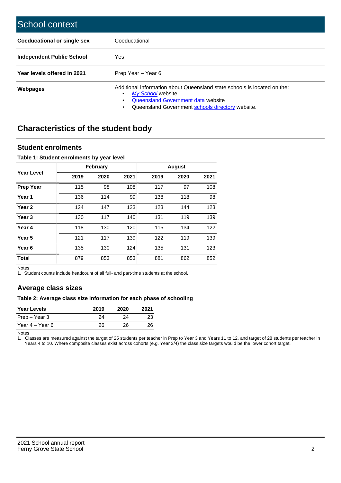| School context                   |                                                                                                                                                                                              |
|----------------------------------|----------------------------------------------------------------------------------------------------------------------------------------------------------------------------------------------|
| Coeducational or single sex      | Coeducational                                                                                                                                                                                |
| <b>Independent Public School</b> | Yes                                                                                                                                                                                          |
| Year levels offered in 2021      | Prep Year - Year 6                                                                                                                                                                           |
| Webpages                         | Additional information about Queensland state schools is located on the:<br>My School website<br>Queensland Government data website<br>Queensland Government schools directory website.<br>٠ |

# **Characteristics of the student body**

### **Student enrolments**

#### **Table 1: Student enrolments by year level**

|                   |      | <b>February</b> |      |      | <b>August</b> |      |
|-------------------|------|-----------------|------|------|---------------|------|
| Year Level        | 2019 | 2020            | 2021 | 2019 | 2020          | 2021 |
| <b>Prep Year</b>  | 115  | 98              | 108  | 117  | 97            | 108  |
| Year 1            | 136  | 114             | 99   | 138  | 118           | 98   |
| Year 2            | 124  | 147             | 123  | 123  | 144           | 123  |
| Year <sub>3</sub> | 130  | 117             | 140  | 131  | 119           | 139  |
| Year 4            | 118  | 130             | 120  | 115  | 134           | 122  |
| Year 5            | 121  | 117             | 139  | 122  | 119           | 139  |
| Year <sub>6</sub> | 135  | 130             | 124  | 135  | 131           | 123  |
| <b>Total</b>      | 879  | 853             | 853  | 881  | 862           | 852  |

Notes

1. Student counts include headcount of all full- and part-time students at the school.

## **Average class sizes**

#### **Table 2: Average class size information for each phase of schooling**

| <b>Year Levels</b> | 2019 | 2020 | 2021 |
|--------------------|------|------|------|
| Prep – Year 3      | 24   | 24   | 23   |
| Year 4 – Year 6    | 26   | 26.  | 26   |

Notes

1. Classes are measured against the target of 25 students per teacher in Prep to Year 3 and Years 11 to 12, and target of 28 students per teacher in Years 4 to 10. Where composite classes exist across cohorts (e.g. Year 3/4) the class size targets would be the lower cohort target.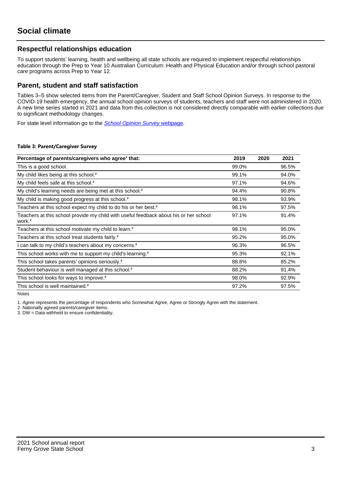## **Respectful relationships education**

To support students' learning, health and wellbeing all state schools are required to implement respectful relationships education through the Prep to Year 10 Australian Curriculum: Health and Physical Education and/or through school pastoral care programs across Prep to Year 12.

### **Parent, student and staff satisfaction**

Tables 3–5 show selected items from the Parent/Caregiver, Student and Staff School Opinion Surveys. In response to the COVID-19 health emergency, the annual school opinion surveys of students, teachers and staff were not administered in 2020. A new time series started in 2021 and data from this collection is not considered directly comparable with earlier collections due to significant methodology changes.

For state level information go to the **[School Opinion Survey](https://qed.qld.gov.au/publications/reports/statistics/schooling/schools/schoolopinionsurvey) webpage**.

#### **Table 3: Parent/Caregiver Survey**

| Percentage of parents/caregivers who agree <sup>1</sup> that:                                               | 2019  | 2020 | 2021  |
|-------------------------------------------------------------------------------------------------------------|-------|------|-------|
| This is a good school.                                                                                      | 99.0% |      | 96.5% |
| My child likes being at this school. <sup>2</sup>                                                           | 99.1% |      | 94.0% |
| My child feels safe at this school. <sup>2</sup>                                                            | 97.1% |      | 94.6% |
| My child's learning needs are being met at this school. <sup>2</sup>                                        | 94.4% |      | 90.8% |
| My child is making good progress at this school. <sup>2</sup>                                               | 98.1% |      | 93.9% |
| Teachers at this school expect my child to do his or her best. <sup>2</sup>                                 | 98.1% |      | 97.5% |
| Teachers at this school provide my child with useful feedback about his or her school<br>work. <sup>2</sup> | 97.1% |      | 91.4% |
| Teachers at this school motivate my child to learn. <sup>2</sup>                                            | 98.1% |      | 95.0% |
| Teachers at this school treat students fairly. <sup>2</sup>                                                 | 95.2% |      | 95.0% |
| can talk to my child's teachers about my concerns. <sup>2</sup>                                             | 96.3% |      | 96.5% |
| This school works with me to support my child's learning. <sup>2</sup>                                      | 95.3% |      | 92.1% |
| This school takes parents' opinions seriously. <sup>2</sup>                                                 | 88.8% |      | 85.2% |
| Student behaviour is well managed at this school. <sup>2</sup>                                              | 88.2% |      | 91.4% |
| This school looks for ways to improve. <sup>2</sup>                                                         | 98.0% |      | 92.9% |
| This school is well maintained. <sup>2</sup>                                                                | 97.2% |      | 97.5% |

Notes

1. Agree represents the percentage of respondents who Somewhat Agree, Agree or Strongly Agree with the statement.

2. Nationally agreed parents/caregiver items.

3. DW = Data withheld to ensure confidentiality.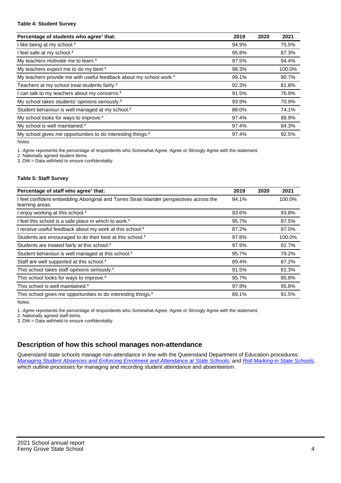#### **Table 4: Student Survey**

| Percentage of students who agree <sup>1</sup> that:                            | 2019  | 2020 | 2021   |
|--------------------------------------------------------------------------------|-------|------|--------|
| I like being at my school. <sup>2</sup>                                        | 94.9% |      | 75.5%  |
| I feel safe at my school. <sup>2</sup>                                         | 95.8% |      | 87.3%  |
| My teachers motivate me to learn. <sup>2</sup>                                 | 97.5% |      | 94.4%  |
| My teachers expect me to do my best. <sup>2</sup>                              | 98.3% |      | 100.0% |
| My teachers provide me with useful feedback about my school work. <sup>2</sup> | 99.1% |      | 90.7%  |
| Teachers at my school treat students fairly. <sup>2</sup>                      | 92.3% |      | 81.8%  |
| I can talk to my teachers about my concerns. <sup>2</sup>                      | 91.5% |      | 76.9%  |
| My school takes students' opinions seriously. <sup>2</sup>                     | 93.9% |      | 70.9%  |
| Student behaviour is well managed at my school. <sup>2</sup>                   | 88.0% |      | 74.1%  |
| My school looks for ways to improve. <sup>2</sup>                              | 97.4% |      | 88.9%  |
| My school is well maintained. <sup>2</sup>                                     | 97.4% |      | 84.3%  |
| My school gives me opportunities to do interesting things. <sup>2</sup>        | 97.4% |      | 92.5%  |

Notes

1. Agree represents the percentage of respondents who Somewhat Agree, Agree or Strongly Agree with the statement.

2. Nationally agreed student items.

3. DW = Data withheld to ensure confidentiality.

#### **Table 5: Staff Survey**

| Percentage of staff who agree <sup>1</sup> that:                                                            | 2019  | 2020 | 2021   |
|-------------------------------------------------------------------------------------------------------------|-------|------|--------|
| I feel confident embedding Aboriginal and Torres Strait Islander perspectives across the<br>learning areas. | 94.1% |      | 100.0% |
| I enjoy working at this school. <sup>2</sup>                                                                | 93.6% |      | 93.8%  |
| I feel this school is a safe place in which to work. <sup>2</sup>                                           | 95.7% |      | 87.5%  |
| I receive useful feedback about my work at this school. <sup>2</sup>                                        | 87.2% |      | 87.0%  |
| Students are encouraged to do their best at this school. <sup>2</sup>                                       | 97.8% |      | 100.0% |
| Students are treated fairly at this school. <sup>2</sup>                                                    | 97.9% |      | 91.7%  |
| Student behaviour is well managed at this school. <sup>2</sup>                                              | 95.7% |      | 79.2%  |
| Staff are well supported at this school. <sup>2</sup>                                                       | 89.4% |      | 87.2%  |
| This school takes staff opinions seriously. <sup>2</sup>                                                    | 91.5% |      | 81.3%  |
| This school looks for ways to improve. <sup>2</sup>                                                         | 95.7% |      | 95.8%  |
| This school is well maintained. <sup>2</sup>                                                                | 97.9% |      | 95.8%  |
| This school gives me opportunities to do interesting things. <sup>2</sup>                                   | 89.1% |      | 91.5%  |

Notes

1. Agree represents the percentage of respondents who Somewhat Agree, Agree or Strongly Agree with the statement.

2. Nationally agreed staff items.

3. DW = Data withheld to ensure confidentiality.

## **Description of how this school manages non-attendance**

Queensland state schools manage non-attendance in line with the Queensland Department of Education procedures: [Managing Student Absences and Enforcing Enrolment and Attendance at State Schools](https://ppr.qed.qld.gov.au/pp/managing-student-absences-and-enforcing-enrolment-and-attendance-at-state-schools-procedure); and [Roll Marking in State Schools,](https://ppr.qed.qld.gov.au/pp/roll-marking-in-state-schools-procedure) which outline processes for managing and recording student attendance and absenteeism.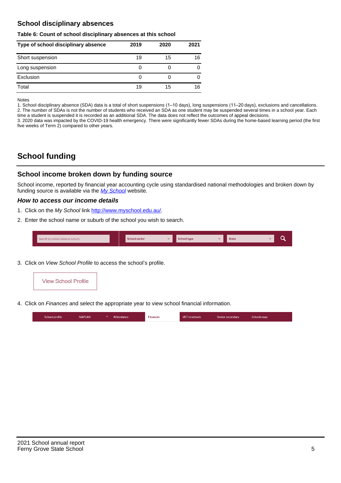## **School disciplinary absences**

#### **Table 6: Count of school disciplinary absences at this school**

| Type of school disciplinary absence | 2019 | 2020 | 2021 |
|-------------------------------------|------|------|------|
| Short suspension                    | 19   | 15   | 16   |
| Long suspension                     | 0    |      |      |
| Exclusion                           | 0    |      |      |
| Total                               | 19   | 15   | 16   |

Notes

1. School disciplinary absence (SDA) data is a total of short suspensions (1–10 days), long suspensions (11–20 days), exclusions and cancellations. 2. The number of SDAs is not the number of students who received an SDA as one student may be suspended several times in a school year. Each time a student is suspended it is recorded as an additional SDA. The data does not reflect the outcomes of appeal decisions.

3. 2020 data was impacted by the COVID-19 health emergency. There were significantly fewer SDAs during the home-based learning period (the first five weeks of Term 2) compared to other years.

# **School funding**

## **School income broken down by funding source**

School income, reported by financial year accounting cycle using standardised national methodologies and broken down by funding source is available via the [My School](http://www.myschool.edu.au/) website.

#### **How to access our income details**

- 1. Click on the My School link <http://www.myschool.edu.au/>.
- 2. Enter the school name or suburb of the school you wish to search.

|  | Search by school name or suburb |  | <b>School sector</b> |  | $\sim$ and $\sim$ represents the set of $\sim$ | <b>State</b> |  |  |  |
|--|---------------------------------|--|----------------------|--|------------------------------------------------|--------------|--|--|--|
|--|---------------------------------|--|----------------------|--|------------------------------------------------|--------------|--|--|--|

3. Click on View School Profile to access the school's profile.



4. Click on Finances and select the appropriate year to view school financial information.

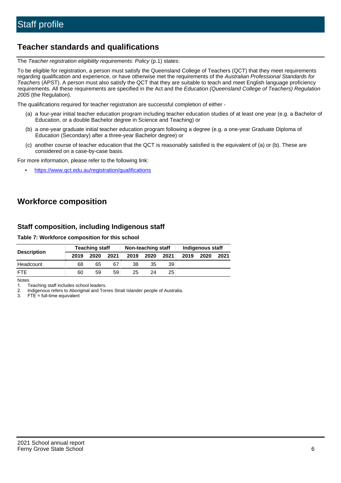# **Teacher standards and qualifications**

The Teacher registration eligibility requirements: Policy (p.1) states:

To be eligible for registration, a person must satisfy the Queensland College of Teachers (QCT) that they meet requirements regarding qualification and experience, or have otherwise met the requirements of the Australian Professional Standards for Teachers (APST). A person must also satisfy the QCT that they are suitable to teach and meet English language proficiency requirements. All these requirements are specified in the Act and the Education (Queensland College of Teachers) Regulation 2005 (the Regulation).

The qualifications required for teacher registration are successful completion of either -

- (a) a four-year initial teacher education program including teacher education studies of at least one year (e.g. a Bachelor of Education, or a double Bachelor degree in Science and Teaching) or
- (b) a one-year graduate initial teacher education program following a degree (e.g. a one-year Graduate Diploma of Education (Secondary) after a three-year Bachelor degree) or
- (c) another course of teacher education that the QCT is reasonably satisfied is the equivalent of (a) or (b). These are considered on a case-by-case basis.

For more information, please refer to the following link:

• <https://www.qct.edu.au/registration/qualifications>

# **Workforce composition**

## **Staff composition, including Indigenous staff**

#### **Table 7: Workforce composition for this school**

|                    |      | <b>Teaching staff</b> |      |      | Non-teaching staff |      |      | Indigenous staff |      |
|--------------------|------|-----------------------|------|------|--------------------|------|------|------------------|------|
| <b>Description</b> | 2019 | 2020                  | 2021 | 2019 | 2020               | 2021 | 2019 | 2020             | 2021 |
| Headcount          | 68   | 65                    | 67   | 38   | 35                 | 39   |      |                  |      |
| <b>FTE</b>         | 60   | 59                    | 59   | 25   | 24                 | 25   |      |                  |      |

Notes

1. Teaching staff includes school leaders.

2. Indigenous refers to Aboriginal and Torres Strait Islander people of Australia.

3. FTE = full-time equivalent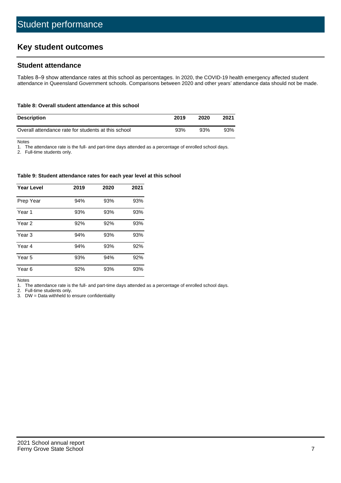# **Key student outcomes**

## **Student attendance**

Tables 8–9 show attendance rates at this school as percentages. In 2020, the COVID-19 health emergency affected student attendance in Queensland Government schools. Comparisons between 2020 and other years' attendance data should not be made.

#### **Table 8: Overall student attendance at this school**

| <b>Description</b>                                  | 2019 | 2020 | 2021 |
|-----------------------------------------------------|------|------|------|
| Overall attendance rate for students at this school | 93%  | 93%  | 93%  |

Notes

1. The attendance rate is the full- and part-time days attended as a percentage of enrolled school days.

2. Full-time students only.

#### **Table 9: Student attendance rates for each year level at this school**

| <b>Year Level</b> | 2019 | 2020 | 2021 |
|-------------------|------|------|------|
| Prep Year         | 94%  | 93%  | 93%  |
| Year <sub>1</sub> | 93%  | 93%  | 93%  |
| Year 2            | 92%  | 92%  | 93%  |
| Year 3            | 94%  | 93%  | 93%  |
| Year 4            | 94%  | 93%  | 92%  |
| Year 5            | 93%  | 94%  | 92%  |
| Year <sub>6</sub> | 92%  | 93%  | 93%  |

Notes

1. The attendance rate is the full- and part-time days attended as a percentage of enrolled school days.

2. Full-time students only.

3. DW = Data withheld to ensure confidentiality